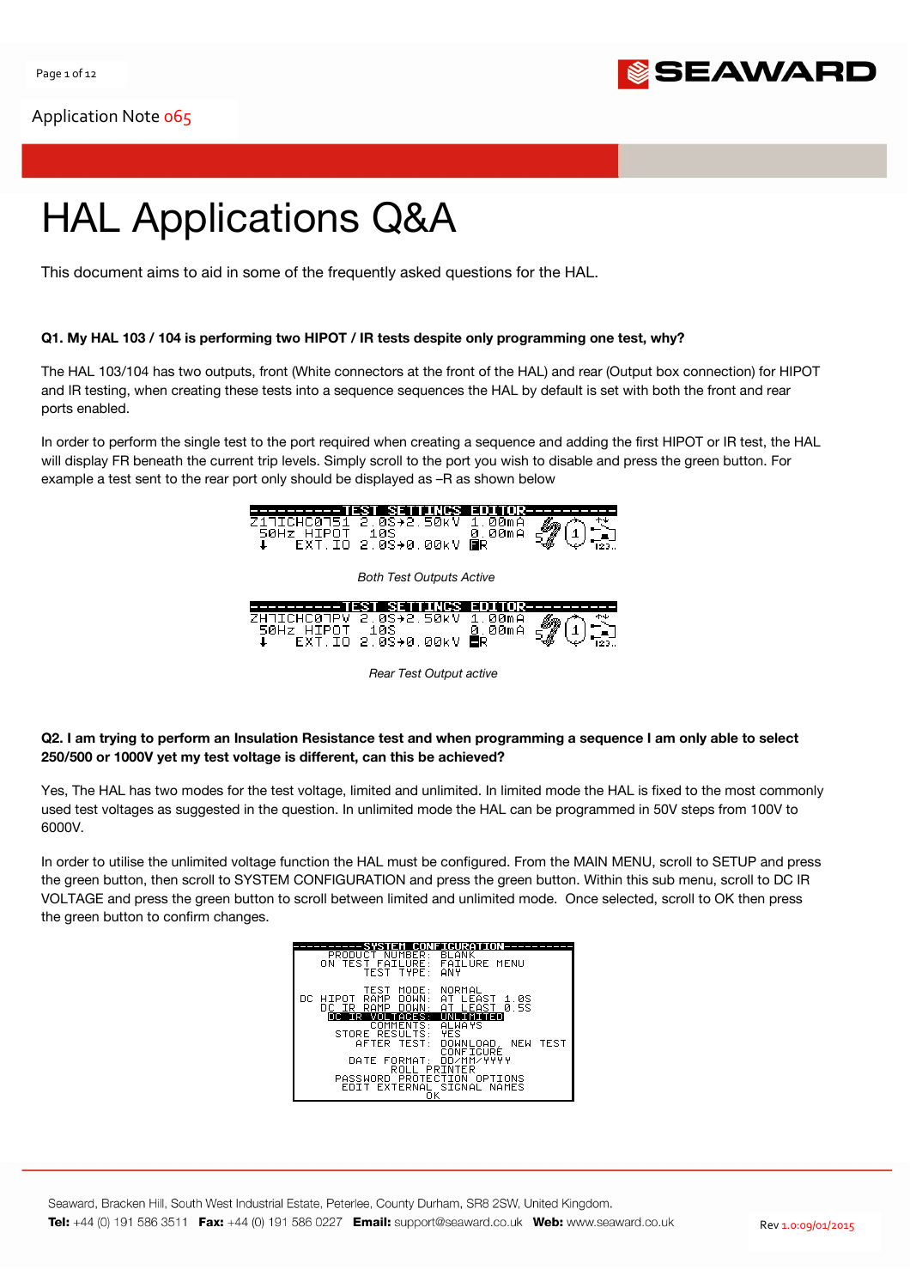

# HAL Applications Q&A

This document aims to aid in some of the frequently asked questions for the HAL.

## Q1. My HAL 103 / 104 is performing two HIPOT / IR tests despite only programming one test, why?

The HAL 103/104 has two outputs, front (White connectors at the front of the HAL) and rear (Output box connection) for HIPOT and IR testing, when creating these tests into a sequence sequences the HAL by default is set with both the front and rear ports enabled.

In order to perform the single test to the port required when creating a sequence and adding the first HIPOT or IR test, the HAL will display FR beneath the current trip levels. Simply scroll to the port you wish to disable and press the green button. For example a test sent to the rear port only should be displayed as –R as shown below



Rear Test Output active

## Q2. I am trying to perform an Insulation Resistance test and when programming a sequence I am only able to select 250/500 or 1000V yet my test voltage is different, can this be achieved?

Yes, The HAL has two modes for the test voltage, limited and unlimited. In limited mode the HAL is fixed to the most commonly used test voltages as suggested in the question. In unlimited mode the HAL can be programmed in 50V steps from 100V to 6000V.

In order to utilise the unlimited voltage function the HAL must be configured. From the MAIN MENU, scroll to SETUP and press the green button, then scroll to SYSTEM CONFIGURATION and press the green button. Within this sub menu, scroll to DC IR VOLTAGE and press the green button to scroll between limited and unlimited mode. Once selected, scroll to OK then press the green button to confirm changes.

|                                                                                                   | <b>CONFIGURAT</b>                                                    |
|---------------------------------------------------------------------------------------------------|----------------------------------------------------------------------|
| PRODUCT NUMBER:<br>TEST FAILURE:<br>ON.<br>TEST TYPE <sup>.</sup>                                 | <b>BLANK</b><br><b>FAILURE MENU</b><br><b>ANY</b>                    |
| TEST<br>MODE : -<br><b>RAMP</b><br>DOWN:<br>DC HIPOT<br>DOWN:<br>DC IR<br>RAMP<br>DC IR VOLTAGES: | NORMAL<br>AT LEAST<br>-1.0S<br>LEAST 0.5S<br>AT.<br><b>UNLIMITED</b> |
| COMMENTS:                                                                                         | <b>ALWAYS</b>                                                        |
|                                                                                                   | <b>YES</b>                                                           |
| STORE RESULTS:                                                                                    |                                                                      |
| AFTER TEST:                                                                                       | DOWNLOAD, NEW TEST                                                   |
|                                                                                                   | CONFIGURÉ                                                            |
| DATE FORMAT: DD/MM/YYYY                                                                           |                                                                      |
| ROLL PRINTER                                                                                      |                                                                      |
| PASSWORD PROTECTION OPTIONS                                                                       |                                                                      |
| FNTT                                                                                              | EXTERNAL SIGNAL NAMES                                                |
| οv                                                                                                |                                                                      |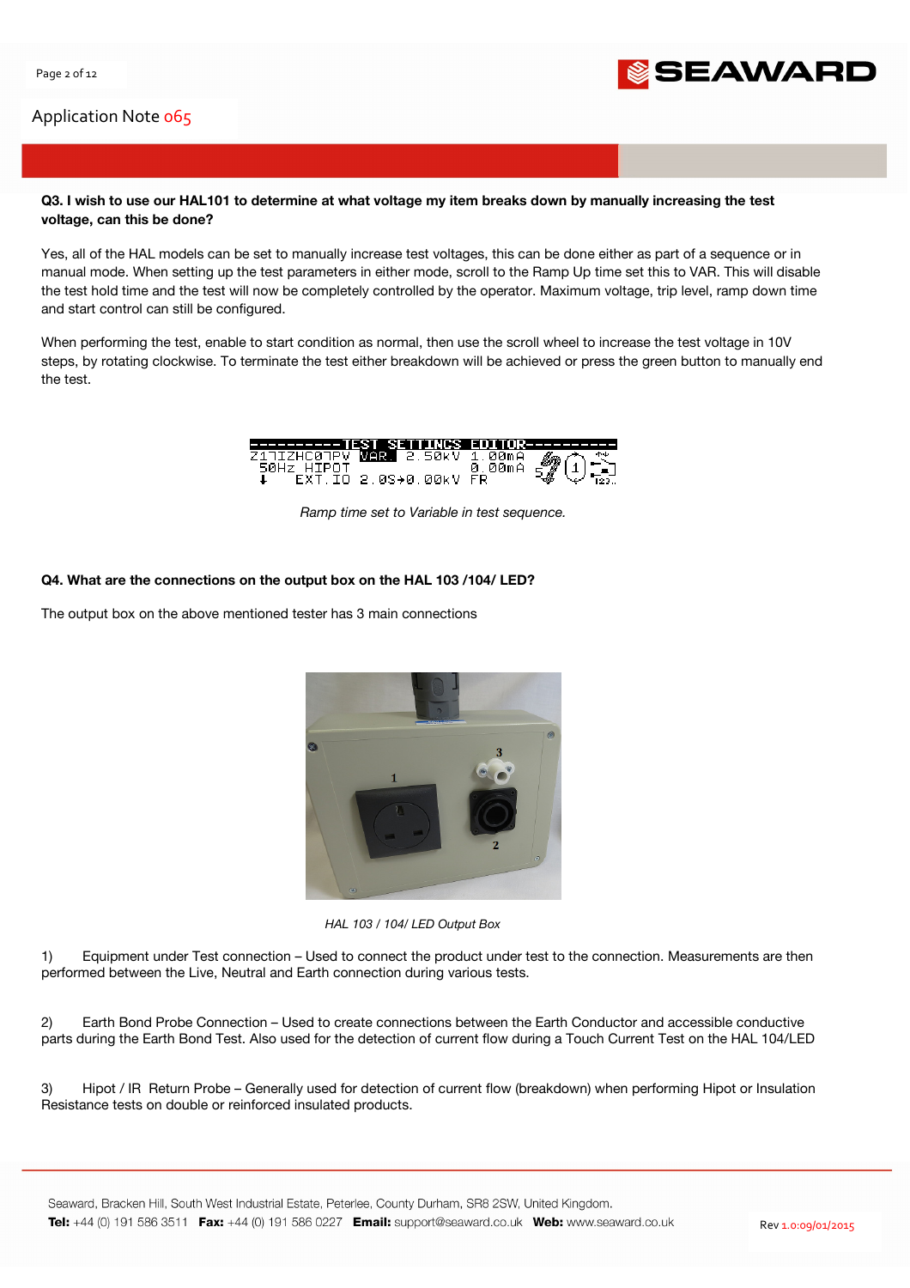

## Q3. I wish to use our HAL101 to determine at what voltage my item breaks down by manually increasing the test voltage, can this be done?

Yes, all of the HAL models can be set to manually increase test voltages, this can be done either as part of a sequence or in manual mode. When setting up the test parameters in either mode, scroll to the Ramp Up time set this to VAR. This will disable the test hold time and the test will now be completely controlled by the operator. Maximum voltage, trip level, ramp down time and start control can still be configured.

When performing the test, enable to start condition as normal, then use the scroll wheel to increase the test voltage in 10V steps, by rotating clockwise. To terminate the test either breakdown will be achieved or press the green button to manually end the test.



Ramp time set to Variable in test sequence.

## Q4. What are the connections on the output box on the HAL 103 /104/ LED?

The output box on the above mentioned tester has 3 main connections



HAL 103 / 104/ LED Output Box

1) Equipment under Test connection – Used to connect the product under test to the connection. Measurements are then performed between the Live, Neutral and Earth connection during various tests.

2) Earth Bond Probe Connection – Used to create connections between the Earth Conductor and accessible conductive parts during the Earth Bond Test. Also used for the detection of current flow during a Touch Current Test on the HAL 104/LED

3) Hipot / IR Return Probe – Generally used for detection of current flow (breakdown) when performing Hipot or Insulation Resistance tests on double or reinforced insulated products.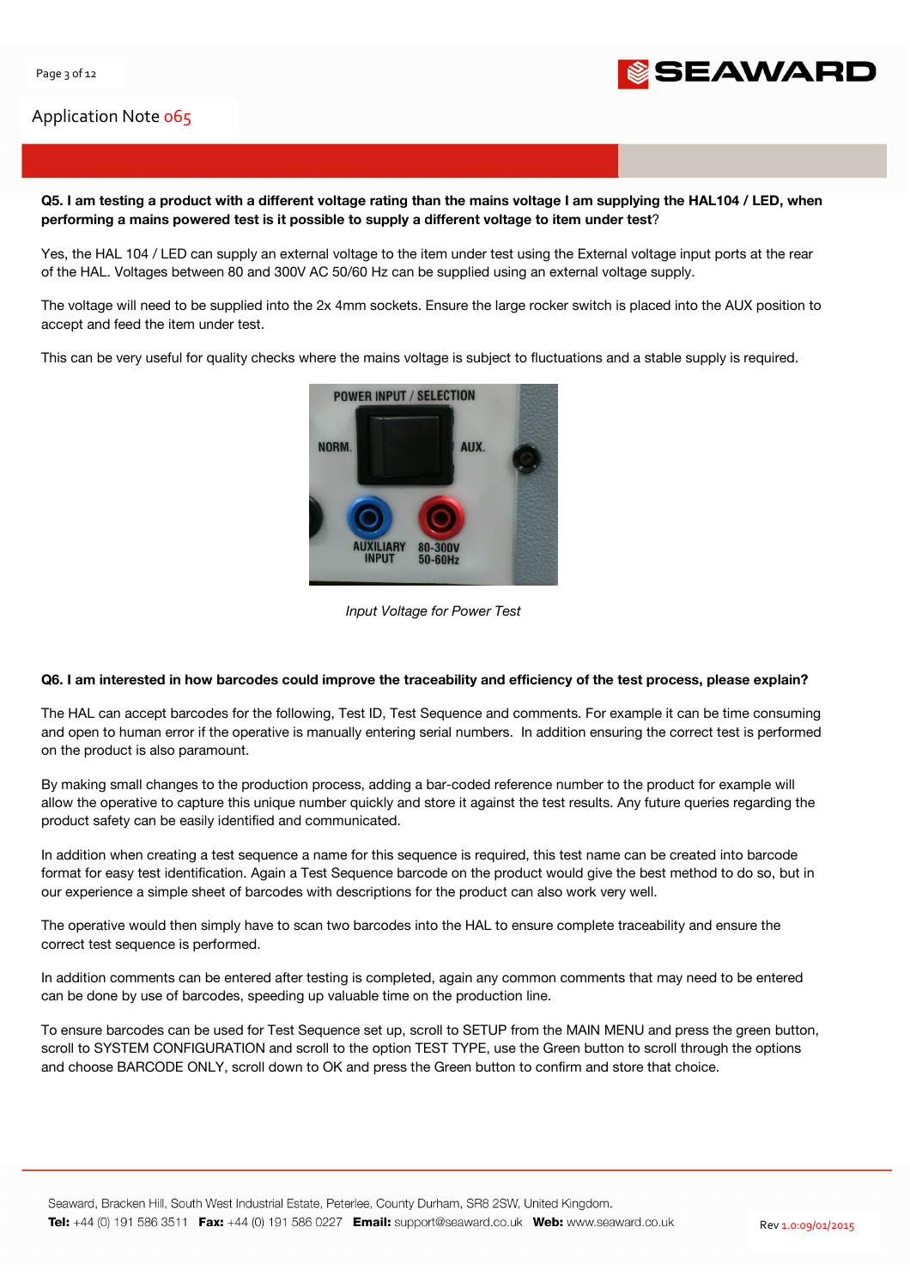

Q5. I am testing a product with a different voltage rating than the mains voltage I am supplying the HAL104 / LED, when performing a mains powered test is it possible to supply a different voltage to item under test?

Yes, the HAL 104 / LED can supply an external voltage to the item under test using the External voltage input ports at the rear of the HAL. Voltages between 80 and 300V AC 50/60 Hz can be supplied using an external voltage supply.

The voltage will need to be supplied into the 2x 4mm sockets. Ensure the large rocker switch is placed into the AUX position to accept and feed the item under test.

This can be very useful for quality checks where the mains voltage is subject to fluctuations and a stable supply is required.



Input Voltage for Power Test

## Q6. I am interested in how barcodes could improve the traceability and efficiency of the test process, please explain?

The HAL can accept barcodes for the following, Test ID, Test Sequence and comments. For example it can be time consuming and open to human error if the operative is manually entering serial numbers. In addition ensuring the correct test is performed on the product is also paramount.

By making small changes to the production process, adding a bar-coded reference number to the product for example will allow the operative to capture this unique number quickly and store it against the test results. Any future queries regarding the product safety can be easily identified and communicated.

In addition when creating a test sequence a name for this sequence is required, this test name can be created into barcode format for easy test identification. Again a Test Sequence barcode on the product would give the best method to do so, but in our experience a simple sheet of barcodes with descriptions for the product can also work very well.

The operative would then simply have to scan two barcodes into the HAL to ensure complete traceability and ensure the correct test sequence is performed.

In addition comments can be entered after testing is completed, again any common comments that may need to be entered can be done by use of barcodes, speeding up valuable time on the production line.

To ensure barcodes can be used for Test Sequence set up, scroll to SETUP from the MAIN MENU and press the green button, scroll to SYSTEM CONFIGURATION and scroll to the option TEST TYPE, use the Green button to scroll through the options and choose BARCODE ONLY, scroll down to OK and press the Green button to confirm and store that choice.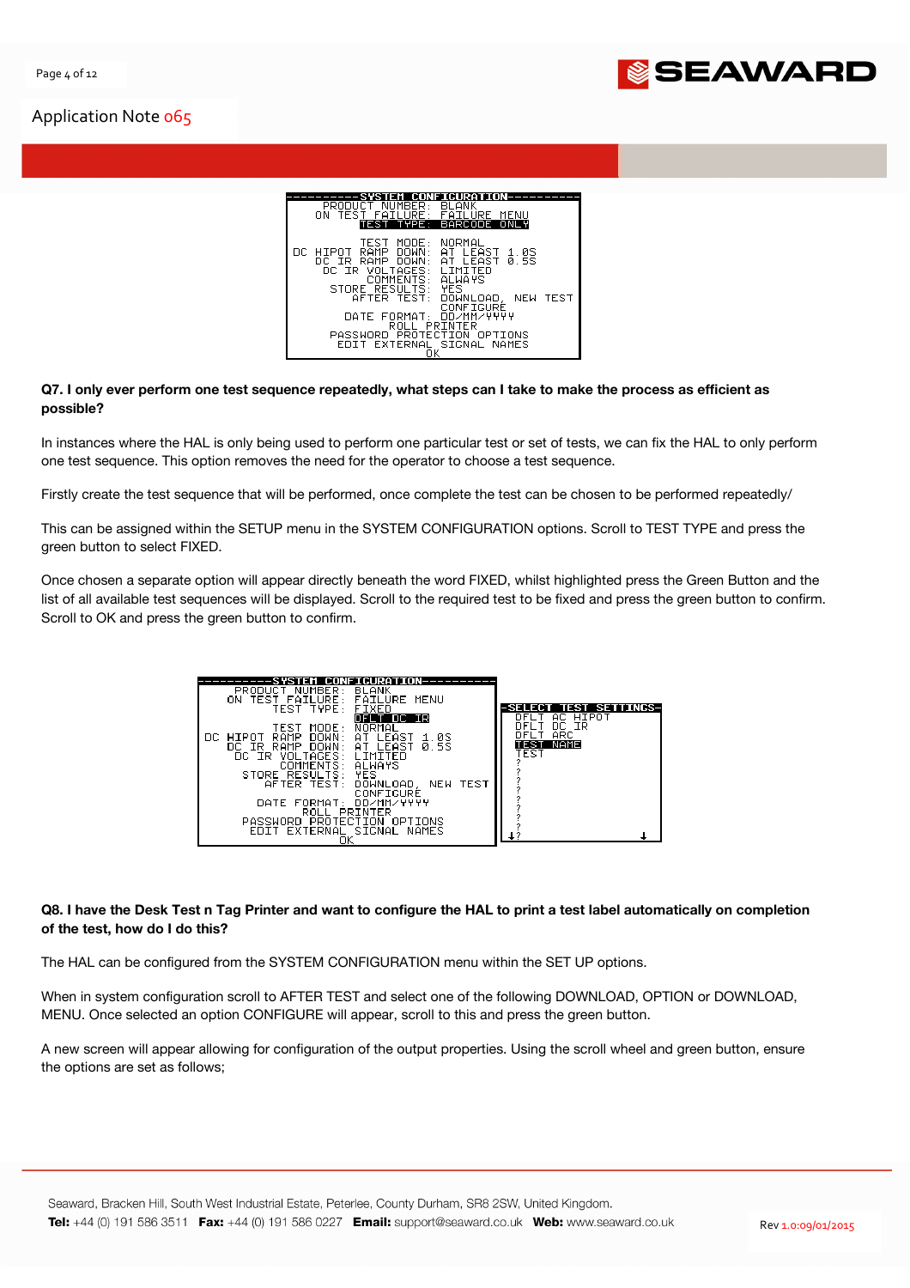

| CONFIGURATION-                                                                                                                                                                                                                                                                                                                                                                                       |
|------------------------------------------------------------------------------------------------------------------------------------------------------------------------------------------------------------------------------------------------------------------------------------------------------------------------------------------------------------------------------------------------------|
| PRODUCT NUMBER:<br><b>BLANK</b><br>ON TEST<br>FAILURE:<br>FAILURE<br>MENU<br>TYPE: BARCODE ONLY<br><b>FST</b>                                                                                                                                                                                                                                                                                        |
| NORMAL<br>TEST<br>MODE:<br>RAMP<br>DOWN:<br>LEAST<br>-1.0S<br>DC.<br>HIPOT<br>AT.<br>LEAST 0.5S<br>RAMP<br>DOWN:<br>AT.<br>DC IR I<br>LIMITED<br>VOLTAGES:<br>DC IR<br><b>ALWAYS</b><br>COMMENTS:<br>YES<br>STORE RESULTS:<br>AFTER TEST:<br>NEW TEST<br>DOWNLOAD.<br>CONFIGURE<br>DD/MM/YYYY<br>DATE FORMAT:<br>ROLL PRINTER<br>PASSWORD PROTECTION OPTIONS<br>EXTERNAL SIGNAL NAMES<br><b>FDTT</b> |
|                                                                                                                                                                                                                                                                                                                                                                                                      |

#### Q7. I only ever perform one test sequence repeatedly, what steps can I take to make the process as efficient as possible?

In instances where the HAL is only being used to perform one particular test or set of tests, we can fix the HAL to only perform one test sequence. This option removes the need for the operator to choose a test sequence.

Firstly create the test sequence that will be performed, once complete the test can be chosen to be performed repeatedly/

This can be assigned within the SETUP menu in the SYSTEM CONFIGURATION options. Scroll to TEST TYPE and press the green button to select FIXED.

Once chosen a separate option will appear directly beneath the word FIXED, whilst highlighted press the Green Button and the list of all available test sequences will be displayed. Scroll to the required test to be fixed and press the green button to confirm. Scroll to OK and press the green button to confirm.

| FAILURE MENU<br>TEST<br>FAILURE:<br>ΠN.<br>TEST TYPE:<br><b>FIXED</b><br>DFLT DC IR<br>NORMAL<br>TEST<br>MODE:<br>RAMP<br>DOWN:<br>I FAST<br>DC HIPOT<br>AT.<br>1.0S<br><b>0.5S</b><br>DOWN:<br><b>RAMP</b><br>AT LEAST<br>DC IR.<br>VOLTAGES:<br>DC IR<br>I TMTTFN<br><b>ALWAYS</b><br>COMMENTS:<br><b>YES</b><br>STORE RESULTS:<br>AFTER TEST:<br>DOWNLOAD,<br>NEW TEST<br>CONFIGURE<br>DD/MM/YYYY<br>DATE FORMAT:<br>ROLL<br>PRINTER<br>PASSWORD<br>PROTECTION<br>OPTIONS<br>EDIT EXTERNAL SIGNAL NAMES<br>ОΚ | <b>SET</b><br>TIRKS-<br>HIPOT<br>AC.<br><b>TR</b><br>nс.<br><b>ARC</b><br>NAME<br>TEST |
|------------------------------------------------------------------------------------------------------------------------------------------------------------------------------------------------------------------------------------------------------------------------------------------------------------------------------------------------------------------------------------------------------------------------------------------------------------------------------------------------------------------|----------------------------------------------------------------------------------------|
|------------------------------------------------------------------------------------------------------------------------------------------------------------------------------------------------------------------------------------------------------------------------------------------------------------------------------------------------------------------------------------------------------------------------------------------------------------------------------------------------------------------|----------------------------------------------------------------------------------------|

## Q8. I have the Desk Test n Tag Printer and want to configure the HAL to print a test label automatically on completion of the test, how do I do this?

The HAL can be configured from the SYSTEM CONFIGURATION menu within the SET UP options.

When in system configuration scroll to AFTER TEST and select one of the following DOWNLOAD, OPTION or DOWNLOAD, MENU. Once selected an option CONFIGURE will appear, scroll to this and press the green button.

A new screen will appear allowing for configuration of the output properties. Using the scroll wheel and green button, ensure the options are set as follows;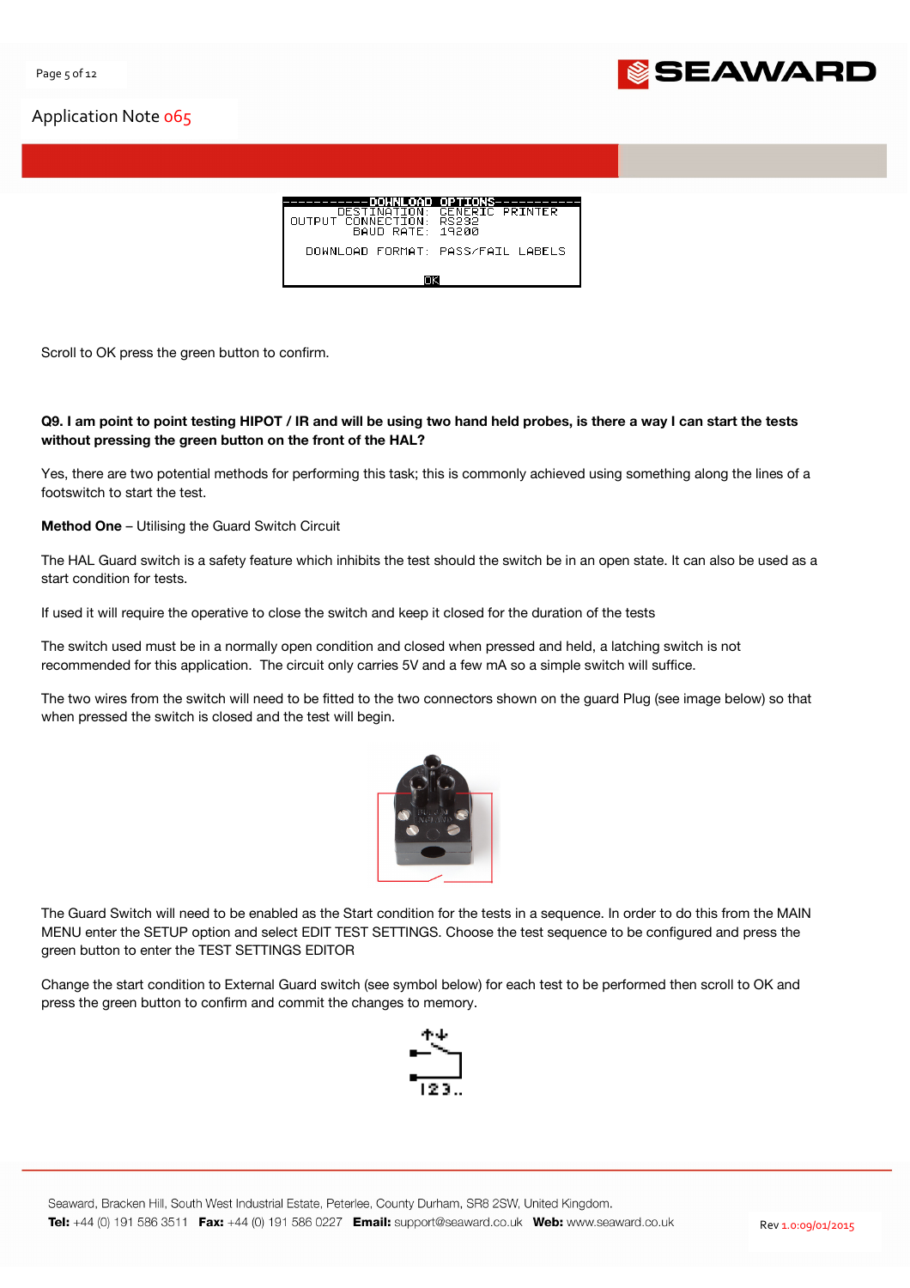

| ---DOWNLOAD OPTIONS-                                    |                                   |  |  |  |
|---------------------------------------------------------|-----------------------------------|--|--|--|
| DESTINATION:<br>AUTPUT CANNECITAN .<br>BAHD RATE: 19200 | GENERIC PRINTER<br>RS232.         |  |  |  |
|                                                         | DOWNLOAD FORMAT: PASS/FAIL LABELS |  |  |  |
|                                                         |                                   |  |  |  |

Scroll to OK press the green button to confirm.

## Q9. I am point to point testing HIPOT / IR and will be using two hand held probes, is there a way I can start the tests without pressing the green button on the front of the HAL?

Yes, there are two potential methods for performing this task; this is commonly achieved using something along the lines of a footswitch to start the test.

Method One – Utilising the Guard Switch Circuit

The HAL Guard switch is a safety feature which inhibits the test should the switch be in an open state. It can also be used as a start condition for tests.

If used it will require the operative to close the switch and keep it closed for the duration of the tests

The switch used must be in a normally open condition and closed when pressed and held, a latching switch is not recommended for this application. The circuit only carries 5V and a few mA so a simple switch will suffice.

The two wires from the switch will need to be fitted to the two connectors shown on the guard Plug (see image below) so that when pressed the switch is closed and the test will begin.



The Guard Switch will need to be enabled as the Start condition for the tests in a sequence. In order to do this from the MAIN MENU enter the SETUP option and select EDIT TEST SETTINGS. Choose the test sequence to be configured and press the green button to enter the TEST SETTINGS EDITOR

Change the start condition to External Guard switch (see symbol below) for each test to be performed then scroll to OK and press the green button to confirm and commit the changes to memory.

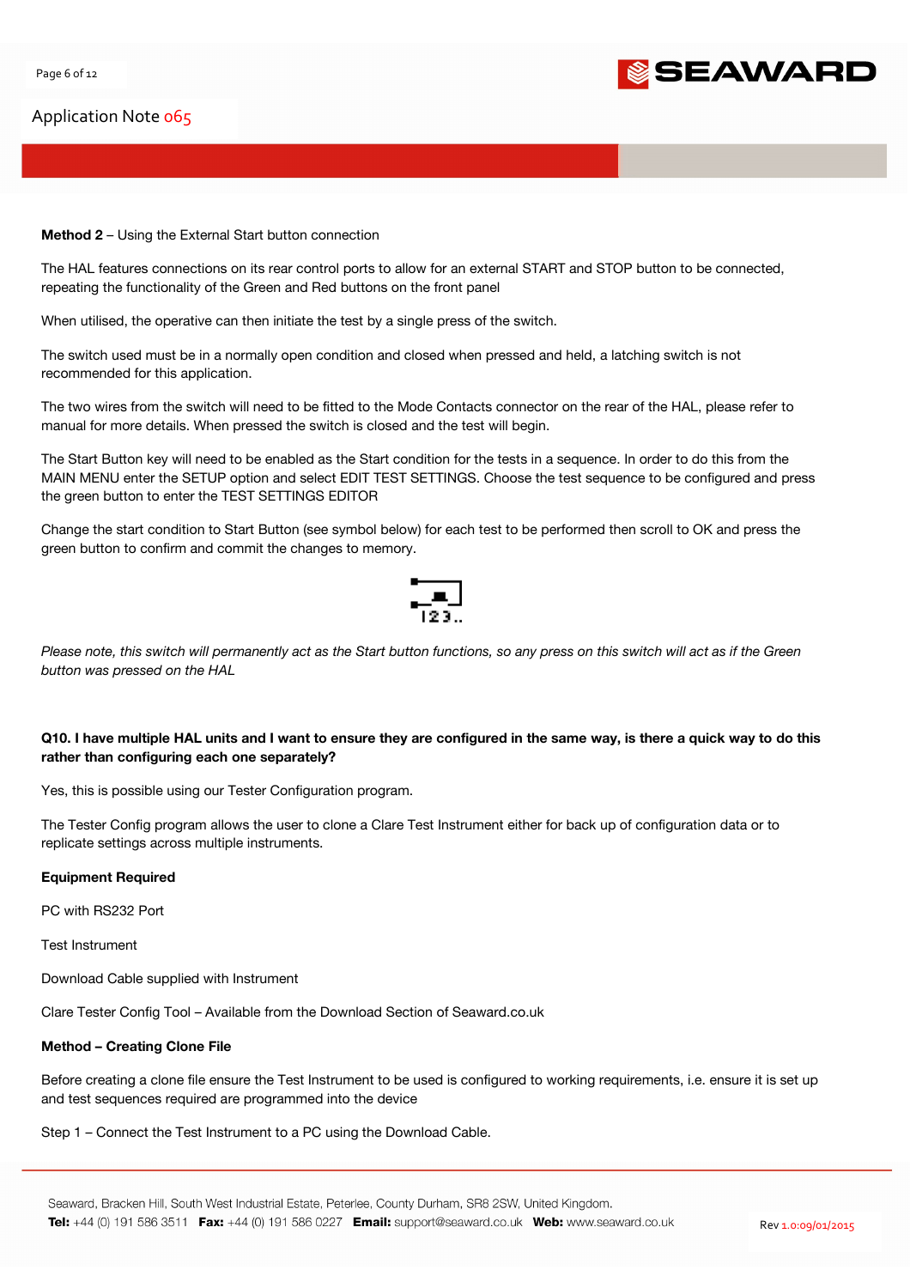

### Method 2 – Using the External Start button connection

The HAL features connections on its rear control ports to allow for an external START and STOP button to be connected, repeating the functionality of the Green and Red buttons on the front panel

When utilised, the operative can then initiate the test by a single press of the switch.

The switch used must be in a normally open condition and closed when pressed and held, a latching switch is not recommended for this application.

The two wires from the switch will need to be fitted to the Mode Contacts connector on the rear of the HAL, please refer to manual for more details. When pressed the switch is closed and the test will begin.

The Start Button key will need to be enabled as the Start condition for the tests in a sequence. In order to do this from the MAIN MENU enter the SETUP option and select EDIT TEST SETTINGS. Choose the test sequence to be configured and press the green button to enter the TEST SETTINGS EDITOR

Change the start condition to Start Button (see symbol below) for each test to be performed then scroll to OK and press the green button to confirm and commit the changes to memory.



Please note, this switch will permanently act as the Start button functions, so any press on this switch will act as if the Green button was pressed on the HAL

## Q10. I have multiple HAL units and I want to ensure they are configured in the same way, is there a quick way to do this rather than configuring each one separately?

Yes, this is possible using our Tester Configuration program.

The Tester Config program allows the user to clone a Clare Test Instrument either for back up of configuration data or to replicate settings across multiple instruments.

## Equipment Required

PC with RS232 Port

Test Instrument

Download Cable supplied with Instrument

Clare Tester Config Tool – Available from the Download Section of Seaward.co.uk

#### Method – Creating Clone File

Before creating a clone file ensure the Test Instrument to be used is configured to working requirements, i.e. ensure it is set up and test sequences required are programmed into the device

Step 1 – Connect the Test Instrument to a PC using the Download Cable.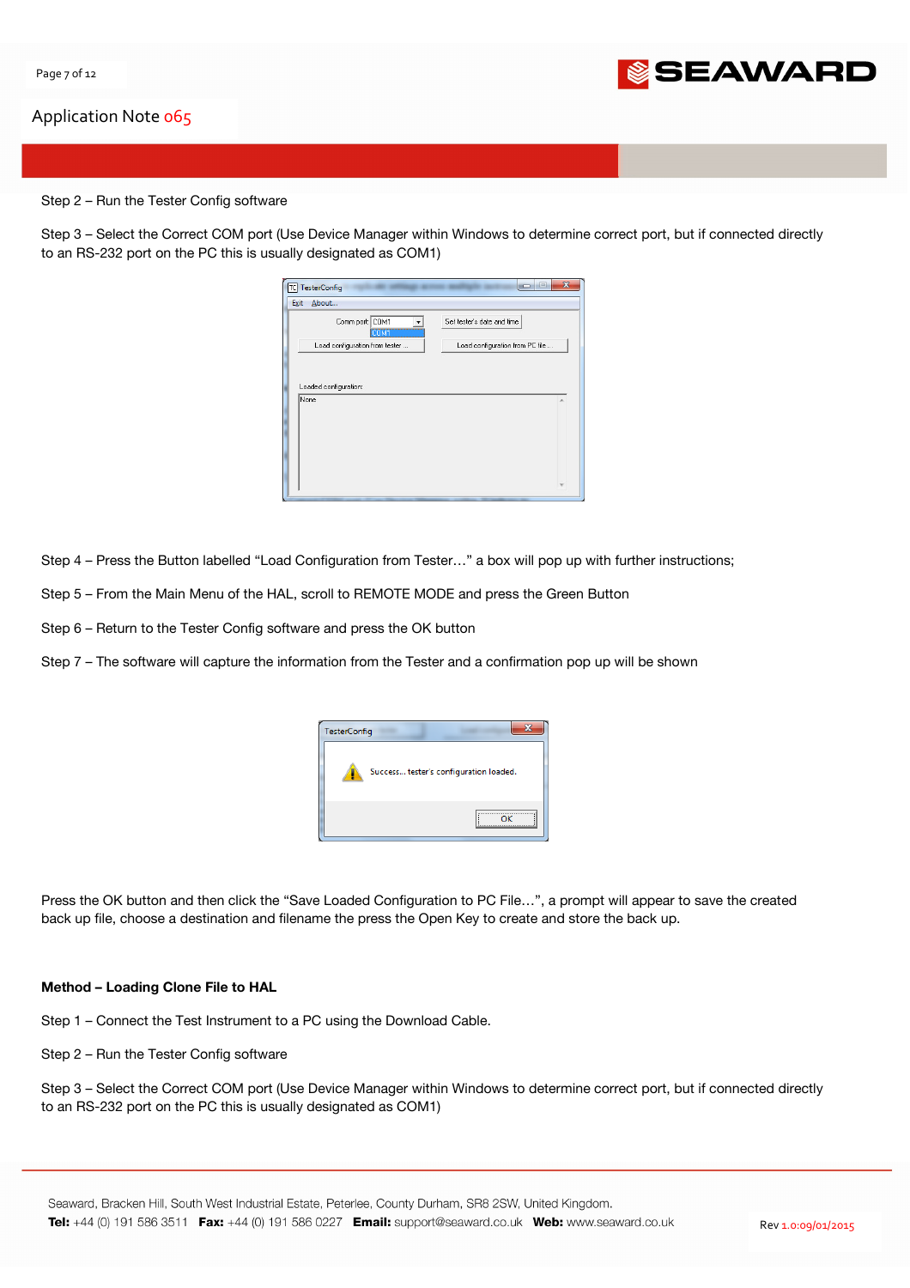

#### Step 2 – Run the Tester Config software

Step 3 – Select the Correct COM port (Use Device Manager within Windows to determine correct port, but if connected directly to an RS-232 port on the PC this is usually designated as COM1)

| Set tester's date and time<br>Load configuration from PC file<br>۸ |
|--------------------------------------------------------------------|
|                                                                    |
|                                                                    |
|                                                                    |
|                                                                    |

Step 4 – Press the Button labelled "Load Configuration from Tester…" a box will pop up with further instructions;

Step 5 – From the Main Menu of the HAL, scroll to REMOTE MODE and press the Green Button

Step 6 – Return to the Tester Config software and press the OK button

Step 7 – The software will capture the information from the Tester and a confirmation pop up will be shown



Press the OK button and then click the "Save Loaded Configuration to PC File…", a prompt will appear to save the created back up file, choose a destination and filename the press the Open Key to create and store the back up.

#### Method – Loading Clone File to HAL

Step 1 – Connect the Test Instrument to a PC using the Download Cable.

Step 2 – Run the Tester Config software

Step 3 – Select the Correct COM port (Use Device Manager within Windows to determine correct port, but if connected directly to an RS-232 port on the PC this is usually designated as COM1)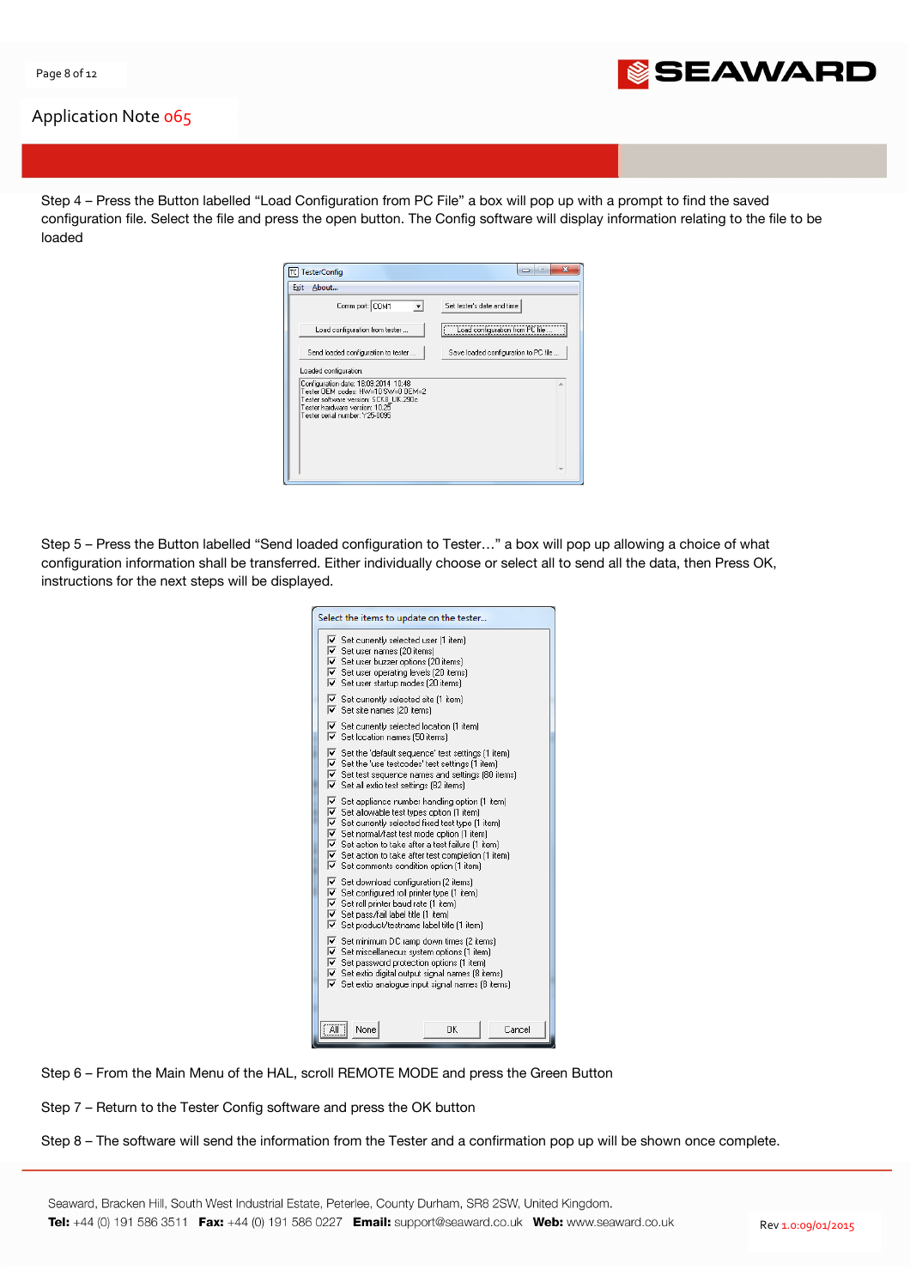

Step 4 – Press the Button labelled "Load Configuration from PC File" a box will pop up with a prompt to find the saved configuration file. Select the file and press the open button. The Config software will display information relating to the file to be loaded

| About<br>Exit<br>Comm port: COM1                                                                                                                      | Set tester's date and time           |
|-------------------------------------------------------------------------------------------------------------------------------------------------------|--------------------------------------|
| Load configuration from tester                                                                                                                        | Load configuration from PC file      |
| Send loaded configuration to tester<br>Loaded configuration:                                                                                          | Save loaded configuration to PC file |
| Configuration date: 18:09:2014 10:48<br>Tester OEM codes: HW=10 SW=0 OEM=2<br>Tester software version: SCK8 UK.290c<br>Tester hardware version: 10.25 |                                      |
| Tester serial number: Y25-0095                                                                                                                        |                                      |

Step 5 – Press the Button labelled "Send loaded configuration to Tester…" a box will pop up allowing a choice of what configuration information shall be transferred. Either individually choose or select all to send all the data, then Press OK, instructions for the next steps will be displayed.

|                                                                                                                               | $\triangleright$ Set currently selected user [1 item]             |    |        |
|-------------------------------------------------------------------------------------------------------------------------------|-------------------------------------------------------------------|----|--------|
|                                                                                                                               | $\overline{\mathbf{v}}$ Set user names (20 items)                 |    |        |
| $\triangleright$ Set user buzzer options (20 items)                                                                           |                                                                   |    |        |
| $\triangledown$ Set user operating levels (20 items)                                                                          |                                                                   |    |        |
| $\triangledown$ Set user startup modes (20 items)                                                                             |                                                                   |    |        |
| $\triangledown$ Set currently selected site [1 item]                                                                          |                                                                   |    |        |
|                                                                                                                               | $\triangleright$ Set site names (20 items)                        |    |        |
|                                                                                                                               | $\triangledown$ Set currently selected location (1 item)          |    |        |
|                                                                                                                               | $\triangledown$ Set location names (50 items)                     |    |        |
|                                                                                                                               | $\triangledown$ Set the 'default sequence' test settings [1 item] |    |        |
| $\overline{\mathbf{v}}$ Set the 'use testcodes' test settings [1 item]                                                        |                                                                   |    |        |
| $\overline{\mathbf{v}}$ Set test sequence names and settings (80 items)                                                       |                                                                   |    |        |
| $\triangleright$ Set all extio test settings (82 items)                                                                       |                                                                   |    |        |
| $\triangledown$ Set appliance number handling option (1 item)                                                                 |                                                                   |    |        |
| $\overline{\mathbf{v}}$ Set allowable test types option (1 item)                                                              |                                                                   |    |        |
| $\overline{\mathbf{v}}$ Set currently selected fixed test type [1 item]                                                       |                                                                   |    |        |
| Ⅳ Set normal/fast test mode option (1 item)                                                                                   |                                                                   |    |        |
| $\overline{\mathbf{v}}$ Set action to take after a test failure (1 item)                                                      |                                                                   |    |        |
| $\triangledown$ Set action to take after test completion [1 item]                                                             |                                                                   |    |        |
| $\triangledown$ Set comments condition option (1 item)                                                                        |                                                                   |    |        |
| $\triangledown$ Set download configuration (2 items)                                                                          |                                                                   |    |        |
| $\triangleright$ Set configured roll printer type [1 item]                                                                    |                                                                   |    |        |
| $\overline{\triangledown}$ Set roll printer baud rate (1 item)                                                                |                                                                   |    |        |
| $\overline{\mathbf{v}}$ Set pass/fail label title [1 item]<br>$\triangledown$ Set product/testname label title [1 item]       |                                                                   |    |        |
|                                                                                                                               |                                                                   |    |        |
| $\overline{\mathbf{v}}$ Set minimum DC ramp down times (2 items)                                                              |                                                                   |    |        |
| $\overline{\mathbf{v}}$ Set miscellaneous system options (1 item)<br>$\triangledown$ Set password protection options (1 item) |                                                                   |    |        |
| V Set extio digital output signal names (8 items)                                                                             |                                                                   |    |        |
| $\triangledown$ Set extio analogue input signal names (8 items)                                                               |                                                                   |    |        |
|                                                                                                                               |                                                                   |    |        |
|                                                                                                                               |                                                                   |    |        |
| <b>All</b>                                                                                                                    | None                                                              | OK | Cancel |
|                                                                                                                               |                                                                   |    |        |

Step 6 – From the Main Menu of the HAL, scroll REMOTE MODE and press the Green Button

Step 7 – Return to the Tester Config software and press the OK button

Step 8 – The software will send the information from the Tester and a confirmation pop up will be shown once complete.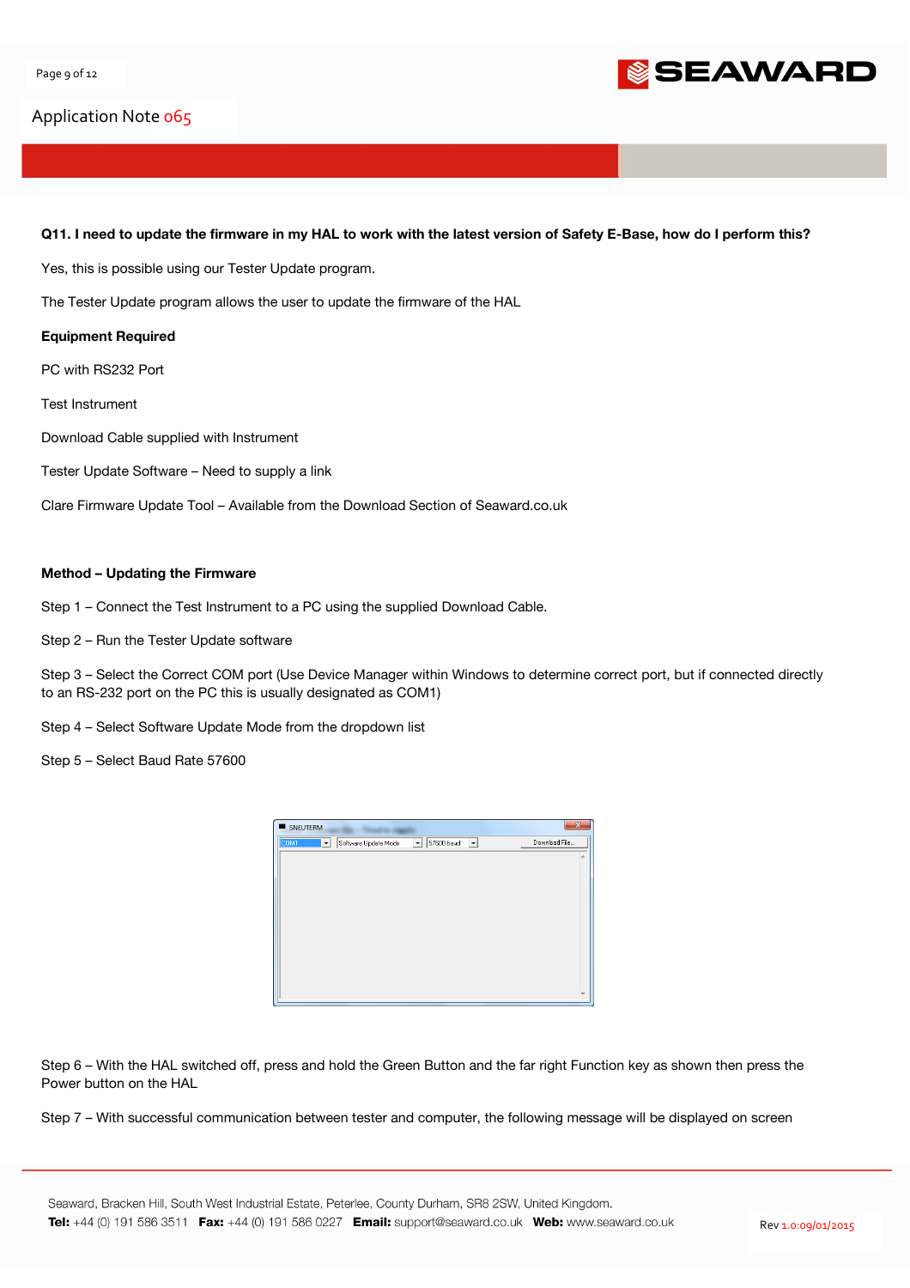

#### Q11. I need to update the firmware in my HAL to work with the latest version of Safety E-Base, how do I perform this?

Yes, this is possible using our Tester Update program.

The Tester Update program allows the user to update the firmware of the HAL

#### Equipment Required

PC with RS232 Port

Test Instrument

Download Cable supplied with Instrument

Tester Update Software – Need to supply a link

Clare Firmware Update Tool – Available from the Download Section of Seaward.co.uk

#### Method – Updating the Firmware

Step 1 – Connect the Test Instrument to a PC using the supplied Download Cable.

Step 2 – Run the Tester Update software

Step 3 – Select the Correct COM port (Use Device Manager within Windows to determine correct port, but if connected directly to an RS-232 port on the PC this is usually designated as COM1)

Step 4 – Select Software Update Mode from the dropdown list

Step 5 – Select Baud Rate 57600



Step 6 – With the HAL switched off, press and hold the Green Button and the far right Function key as shown then press the Power button on the HAL

Step 7 – With successful communication between tester and computer, the following message will be displayed on screen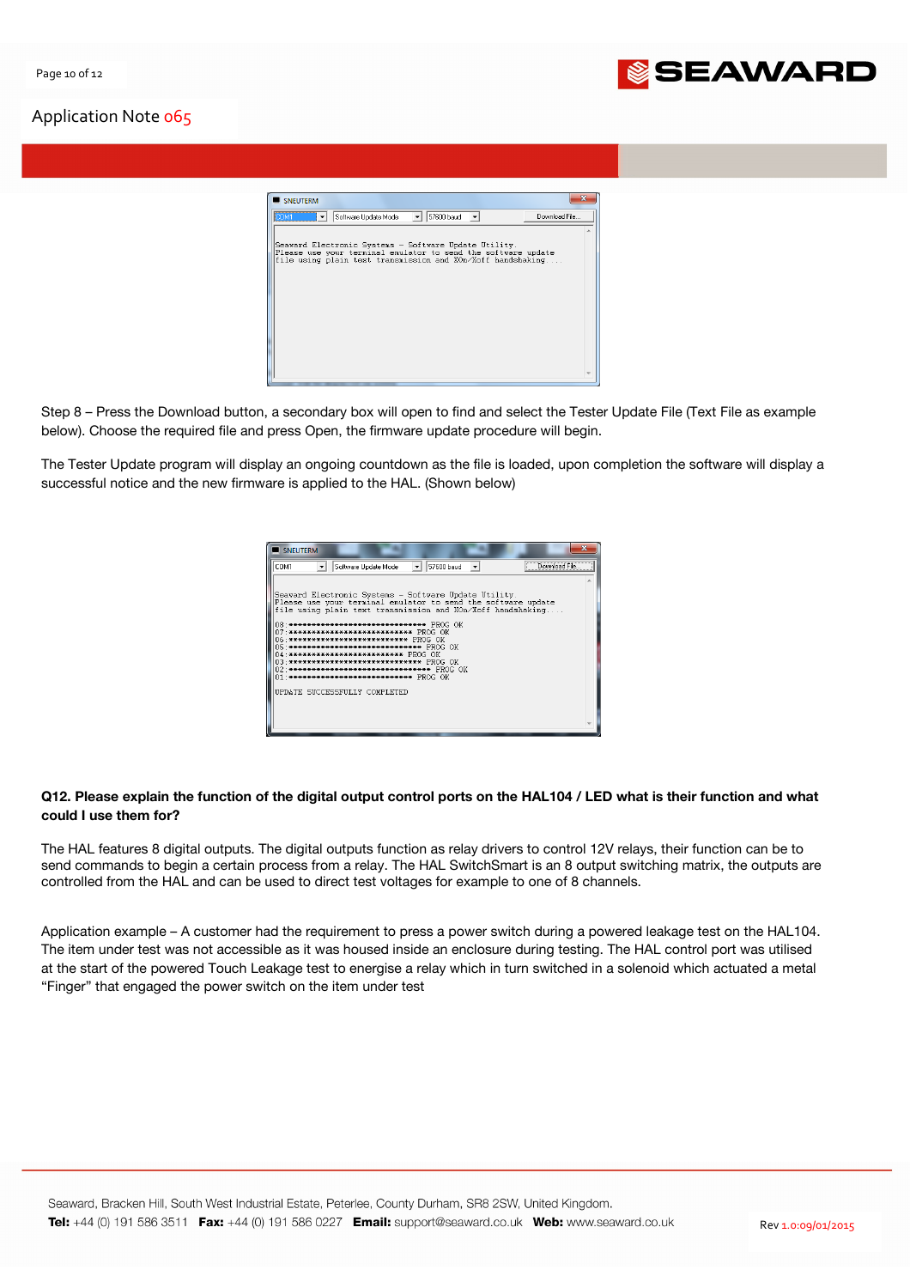

| SNEUTERM                                                                                                               | 33            |
|------------------------------------------------------------------------------------------------------------------------|---------------|
| 57600 baud<br>Software Update Mode<br><b>COM1</b><br>$\overline{\phantom{a}}$<br>$\overline{\phantom{a}}$              | Download File |
|                                                                                                                        |               |
| Seaward Electronic Systems - Software Update Utility.<br>Please use your terminal emulator to send the software update |               |
| file using plain text transmission and XOn/Xoff handshaking                                                            |               |
|                                                                                                                        |               |
|                                                                                                                        |               |
|                                                                                                                        |               |
|                                                                                                                        |               |
|                                                                                                                        |               |
|                                                                                                                        |               |
|                                                                                                                        |               |
|                                                                                                                        |               |

Step 8 – Press the Download button, a secondary box will open to find and select the Tester Update File (Text File as example below). Choose the required file and press Open, the firmware update procedure will begin.

The Tester Update program will display an ongoing countdown as the file is loaded, upon completion the software will display a successful notice and the new firmware is applied to the HAL. (Shown below)



## Q12. Please explain the function of the digital output control ports on the HAL104 / LED what is their function and what could I use them for?

The HAL features 8 digital outputs. The digital outputs function as relay drivers to control 12V relays, their function can be to send commands to begin a certain process from a relay. The HAL SwitchSmart is an 8 output switching matrix, the outputs are controlled from the HAL and can be used to direct test voltages for example to one of 8 channels.

Application example – A customer had the requirement to press a power switch during a powered leakage test on the HAL104. The item under test was not accessible as it was housed inside an enclosure during testing. The HAL control port was utilised at the start of the powered Touch Leakage test to energise a relay which in turn switched in a solenoid which actuated a metal "Finger" that engaged the power switch on the item under test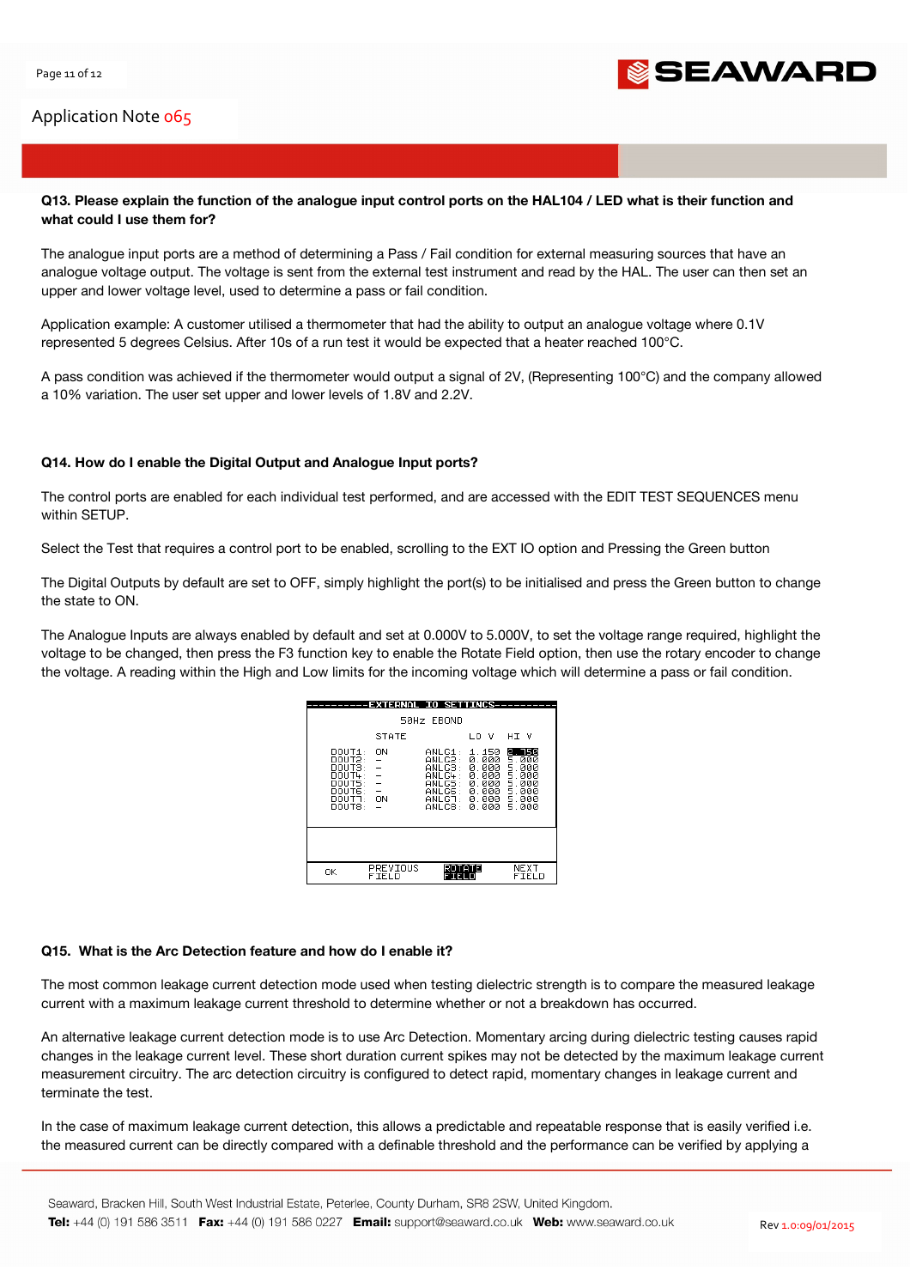

## Q13. Please explain the function of the analogue input control ports on the HAL104 / LED what is their function and what could I use them for?

The analogue input ports are a method of determining a Pass / Fail condition for external measuring sources that have an analogue voltage output. The voltage is sent from the external test instrument and read by the HAL. The user can then set an upper and lower voltage level, used to determine a pass or fail condition.

Application example: A customer utilised a thermometer that had the ability to output an analogue voltage where 0.1V represented 5 degrees Celsius. After 10s of a run test it would be expected that a heater reached 100°C.

A pass condition was achieved if the thermometer would output a signal of 2V, (Representing 100°C) and the company allowed a 10% variation. The user set upper and lower levels of 1.8V and 2.2V.

#### Q14. How do I enable the Digital Output and Analogue Input ports?

The control ports are enabled for each individual test performed, and are accessed with the EDIT TEST SEQUENCES menu within SETUP.

Select the Test that requires a control port to be enabled, scrolling to the EXT IO option and Pressing the Green button

The Digital Outputs by default are set to OFF, simply highlight the port(s) to be initialised and press the Green button to change the state to ON.

The Analogue Inputs are always enabled by default and set at 0.000V to 5.000V, to set the voltage range required, highlight the voltage to be changed, then press the F3 function key to enable the Rotate Field option, then use the rotary encoder to change the voltage. A reading within the High and Low limits for the incoming voltage which will determine a pass or fail condition.

|                                                                                           | ---EXTERNAL IO SETTINGS---  | 50Hz EBOND                                                                     |                                                                      |                                                                       |
|-------------------------------------------------------------------------------------------|-----------------------------|--------------------------------------------------------------------------------|----------------------------------------------------------------------|-----------------------------------------------------------------------|
|                                                                                           | STATE                       |                                                                                | LO V                                                                 | HI V                                                                  |
| DOUT1:<br>DOUT2:<br>DOUTS:<br>DOUT4:<br>nouts:<br>DOLTE:<br>DOUT <sup>7</sup> :<br>DOUT8: | - ON<br>$\frac{1}{2}$<br>ON | ANLG1:<br>ANLG2:<br>ANLG3:<br>ANLG4:<br>ANLG5:<br>ANLG6:<br>ANLGT: I<br>ANLC8: | 1.150<br>0.000<br>0.000<br>0.000<br>0.000<br>0.000<br>0.000<br>й ййй | 2. 750<br>5.000<br>5.000<br>5.000<br>5.000<br>5.000<br>5.000<br>5.000 |
|                                                                                           |                             |                                                                                |                                                                      |                                                                       |
| OΚ                                                                                        | PREVIOUS<br>FIELD           |                                                                                | ATE                                                                  | NEXT<br>FIELD                                                         |

#### Q15. What is the Arc Detection feature and how do I enable it?

The most common leakage current detection mode used when testing dielectric strength is to compare the measured leakage current with a maximum leakage current threshold to determine whether or not a breakdown has occurred.

An alternative leakage current detection mode is to use Arc Detection. Momentary arcing during dielectric testing causes rapid changes in the leakage current level. These short duration current spikes may not be detected by the maximum leakage current measurement circuitry. The arc detection circuitry is configured to detect rapid, momentary changes in leakage current and terminate the test.

In the case of maximum leakage current detection, this allows a predictable and repeatable response that is easily verified i.e. the measured current can be directly compared with a definable threshold and the performance can be verified by applying a